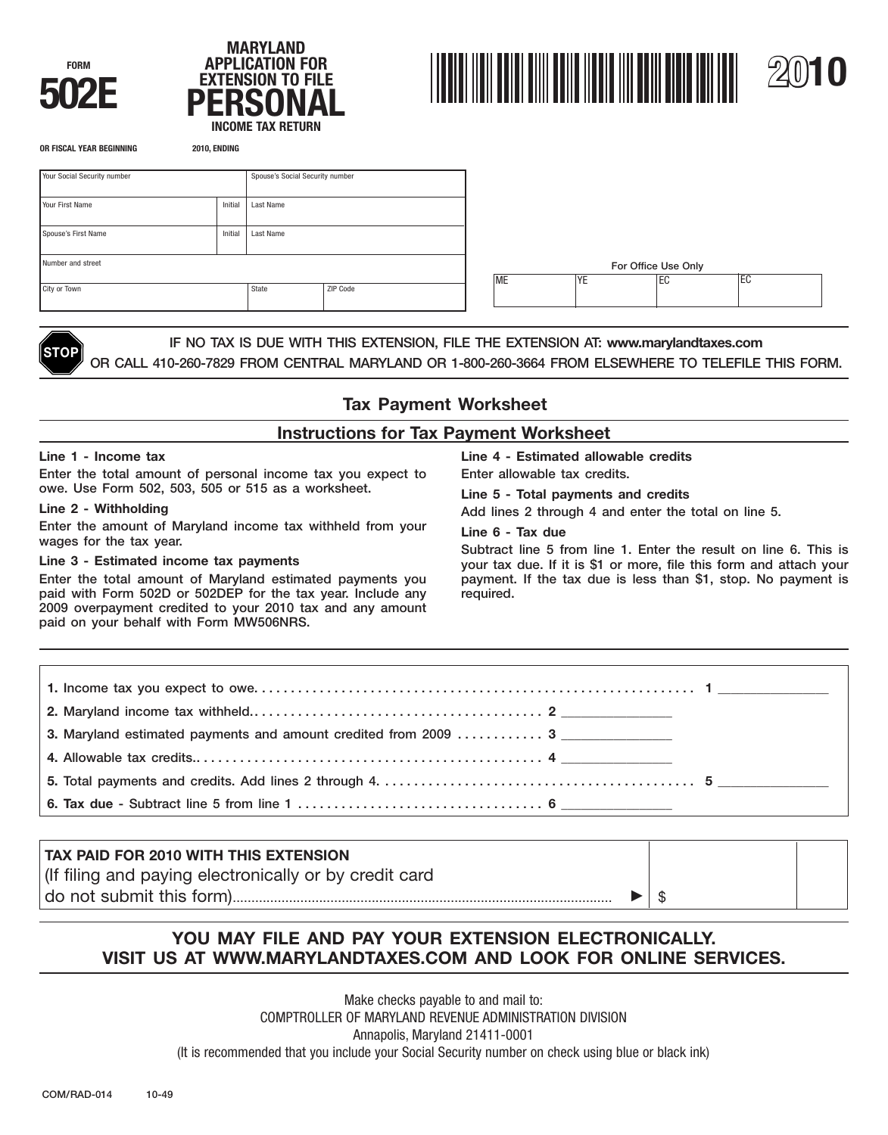





| Your Social Security number |         | Spouse's Social Security number |          |    |                     |           |            |    |  |
|-----------------------------|---------|---------------------------------|----------|----|---------------------|-----------|------------|----|--|
| Your First Name             | Initial | Last Name                       |          |    |                     |           |            |    |  |
| Spouse's First Name         | Initial | Last Name                       |          |    |                     |           |            |    |  |
| Number and street           |         |                                 |          |    | For Office Use Only |           |            |    |  |
| City or Town                |         | State                           | ZIP Code | ME |                     | <b>YE</b> | <b>IEC</b> | EC |  |
|                             |         |                                 |          |    |                     |           |            |    |  |



**STOP** IF NO TAX IS DUE WITH THIS EXTENSION, FILE THE EXTENSION AT: **<www.marylandtaxes.com>** OR CALL 410-260-7829 FROM CENTRAL MARYLAND OR 1-800-260-3664 FROM ELSEWHERE TO TELEFILE THIS FORM.

# **Tax Payment Worksheet**

## **Instructions for Tax Payment Worksheet**

Enter the total amount of personal income tax you expect to Enter allowable tax credits. owe. Use Form 502, 503, 505 or 515 as a worksheet. **Line 5 - Total payments and credits** 

Enter the amount of Maryland income tax withheld from your<br> **Line 6 - Tax due**<br>
Subtract line 5 from line 1. Enter the result on line 6. This is<br>
Line 3 - Estimated income tax payments<br>
Vour tax due. If it is \$1 or more, f

paid with Form 502D or 502DEP for the tax year. Include any required. 2009 overpayment credited to your 2010 tax and any amount paid on your behalf with Form MW506NRS.

**Line 1 - Income tax Line 4 - Estimated allowable credits** 

Add lines 2 through 4 and enter the total on line 5.

your tax due. If it is \$1 or more, file this form and attach your Enter the total amount of Maryland estimated payments you payment. If the tax due is less than \$1, stop. No payment is

| 3. Maryland estimated payments and amount credited from 2009  3 |  |
|-----------------------------------------------------------------|--|
|                                                                 |  |
|                                                                 |  |
|                                                                 |  |

# **TAX PAID FOR 2010 WITH THIS EXTENSION**  (If filing and paying electronically or by credit card do not submit this form)..................................................................................................... \$

# **YOU MAY FILE AND PAY YOUR EXTENSION ELECTRONICALLY. VISIT US AT <WWW.MARYLANDTAXES.COM> AND LOOK FOR ONLINE SERVICES.**

Make checks payable to and mail to: COMPTROLLER OF MARYLAND REVENUE ADMINISTRATION DIVISION Annapolis, Maryland 21411-0001 (It is recommended that you include your Social Security number on check using blue or black ink)